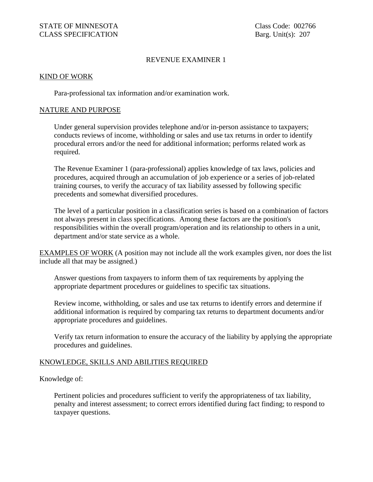# REVENUE EXAMINER 1

### KIND OF WORK

Para-professional tax information and/or examination work.

## NATURE AND PURPOSE

Under general supervision provides telephone and/or in-person assistance to taxpayers; conducts reviews of income, withholding or sales and use tax returns in order to identify procedural errors and/or the need for additional information; performs related work as required.

The Revenue Examiner 1 (para-professional) applies knowledge of tax laws, policies and procedures, acquired through an accumulation of job experience or a series of job-related training courses, to verify the accuracy of tax liability assessed by following specific precedents and somewhat diversified procedures.

The level of a particular position in a classification series is based on a combination of factors not always present in class specifications. Among these factors are the position's responsibilities within the overall program/operation and its relationship to others in a unit, department and/or state service as a whole.

EXAMPLES OF WORK (A position may not include all the work examples given, nor does the list include all that may be assigned.)

Answer questions from taxpayers to inform them of tax requirements by applying the appropriate department procedures or guidelines to specific tax situations.

Review income, withholding, or sales and use tax returns to identify errors and determine if additional information is required by comparing tax returns to department documents and/or appropriate procedures and guidelines.

Verify tax return information to ensure the accuracy of the liability by applying the appropriate procedures and guidelines.

### KNOWLEDGE, SKILLS AND ABILITIES REQUIRED

## Knowledge of:

Pertinent policies and procedures sufficient to verify the appropriateness of tax liability, penalty and interest assessment; to correct errors identified during fact finding; to respond to taxpayer questions.